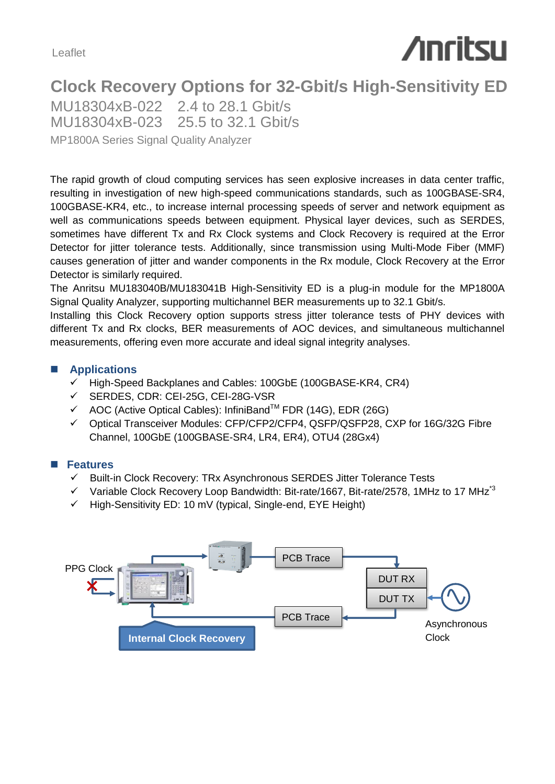Leaflet

# **Anritsu**

## **Clock Recovery Options for 32-Gbit/s High-Sensitivity ED**

MP1800A Series Signal Quality Analyzer MU18304xB-022 2.4 to 28.1 Gbit/s MU18304xB-023 25.5 to 32.1 Gbit/s

The rapid growth of cloud computing services has seen explosive increases in data center traffic, resulting in investigation of new high-speed communications standards, such as 100GBASE-SR4, 100GBASE-KR4, etc., to increase internal processing speeds of server and network equipment as well as communications speeds between equipment. Physical layer devices, such as SERDES, sometimes have different Tx and Rx Clock systems and Clock Recovery is required at the Error Detector for jitter tolerance tests. Additionally, since transmission using Multi-Mode Fiber (MMF) causes generation of jitter and wander components in the Rx module, Clock Recovery at the Error Detector is similarly required.

The Anritsu MU183040B/MU183041B High-Sensitivity ED is a plug-in module for the MP1800A Signal Quality Analyzer, supporting multichannel BER measurements up to 32.1 Gbit/s.

Installing this Clock Recovery option supports stress jitter tolerance tests of PHY devices with different Tx and Rx clocks, BER measurements of AOC devices, and simultaneous multichannel measurements, offering even more accurate and ideal signal integrity analyses.

#### **Applications**

- $\checkmark$  High-Speed Backplanes and Cables: 100GbE (100GBASE-KR4, CR4)
- SERDES, CDR: CEI-25G, CEI-28G-VSR
- $\checkmark$  AOC (Active Optical Cables): InfiniBand<sup>TM</sup> FDR (14G), EDR (26G)
- Optical Transceiver Modules: CFP/CFP2/CFP4, QSFP/QSFP28, CXP for 16G/32G Fibre Channel, 100GbE (100GBASE-SR4, LR4, ER4), OTU4 (28Gx4)

### **Features**

- $\checkmark$  Built-in Clock Recovery: TRx Asynchronous SERDES Jitter Tolerance Tests
- $\checkmark$  Variable Clock Recovery Loop Bandwidth: Bit-rate/1667, Bit-rate/2578, 1MHz to 17 MHz<sup>3</sup>
- $\checkmark$  High-Sensitivity ED: 10 mV (typical, Single-end, EYE Height)